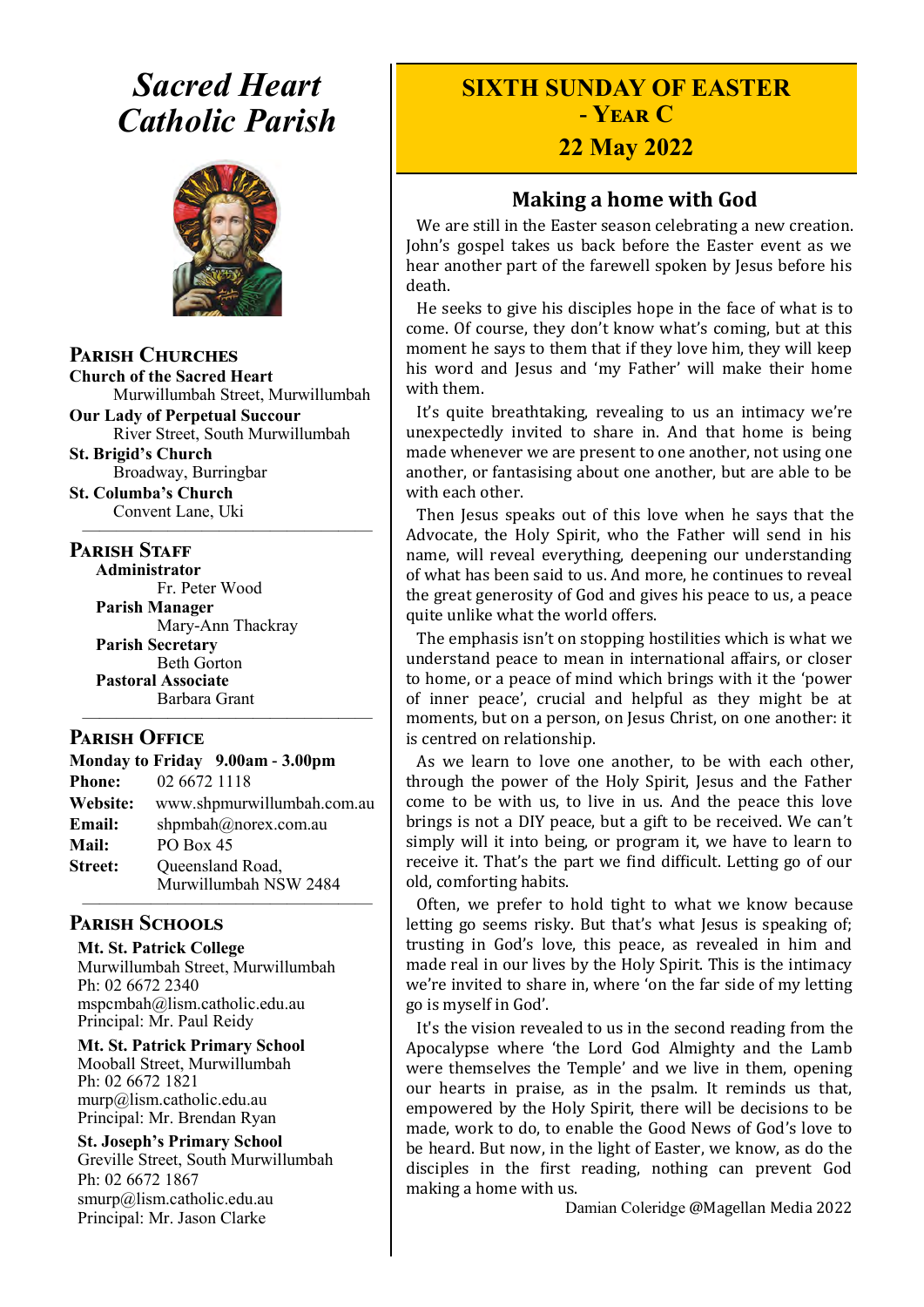# *Sacred Heart Catholic Parish*



**Parish Churches**

**Church of the Sacred Heart** Murwillumbah Street, Murwillumbah

**Our Lady of Perpetual Succour** River Street, South Murwillumbah **St. Brigid's Church**

Broadway, Burringbar **St. Columba's Church**

Convent Lane, Uki —————————————————

#### **PARISH STAFF**

**Administrator** Fr. Peter Wood **Parish Manager** Mary-Ann Thackray **Parish Secretary** Beth Gorton **Pastoral Associate** Barbara Grant

#### **Parish Office**

|                 | Monday to Friday 9.00am - 3.00pm          |
|-----------------|-------------------------------------------|
| <b>Phone:</b>   | 02 6672 1118                              |
| <b>Website:</b> | www.shpmurwillumbah.com.au                |
| Email:          | shpmbah@norex.com.au                      |
| <b>Mail:</b>    | PO Box 45                                 |
| <b>Street:</b>  | Queensland Road,<br>Murwillumbah NSW 2484 |
|                 |                                           |

—————————————————

#### **Parish Schools**

**Mt. St. Patrick College** Murwillumbah Street, Murwillumbah Ph: 02 6672 2340 mspcmbah@lism.catholic.edu.au Principal: Mr. Paul Reidy

**Mt. St. Patrick Primary School** Mooball Street, Murwillumbah Ph: 02 6672 1821 murp@lism.catholic.edu.au Principal: Mr. Brendan Ryan

**St. Joseph's Primary School** Greville Street, South Murwillumbah Ph: 02 6672 1867 smurp@lism.catholic.edu.au Principal: Mr. Jason Clarke

# **SIXTH SUNDAY OF EASTER - Year C**

# **22 May 2022**

## **Making a home with God**

We are still in the Easter season celebrating a new creation. John's gospel takes us back before the Easter event as we hear another part of the farewell spoken by Jesus before his death.

He seeks to give his disciples hope in the face of what is to come. Of course, they don't know what's coming, but at this moment he says to them that if they love him, they will keep his word and Jesus and 'my Father' will make their home with them.

It's quite breathtaking, revealing to us an intimacy we're unexpectedly invited to share in. And that home is being made whenever we are present to one another, not using one another, or fantasising about one another, but are able to be with each other.

Then Jesus speaks out of this love when he says that the Advocate, the Holy Spirit, who the Father will send in his name, will reveal everything, deepening our understanding of what has been said to us. And more, he continues to reveal the great generosity of God and gives his peace to us, a peace quite unlike what the world offers.

The emphasis isn't on stopping hostilities which is what we understand peace to mean in international affairs, or closer to home, or a peace of mind which brings with it the 'power of inner peace', crucial and helpful as they might be at moments, but on a person, on Jesus Christ, on one another: it is centred on relationship.

As we learn to love one another, to be with each other, through the power of the Holy Spirit, Jesus and the Father come to be with us, to live in us. And the peace this love brings is not a DIY peace, but a gift to be received. We can't simply will it into being, or program it, we have to learn to receive it. That's the part we find difficult. Letting go of our old, comforting habits.

Often, we prefer to hold tight to what we know because letting go seems risky. But that's what Jesus is speaking of; trusting in God's love, this peace, as revealed in him and made real in our lives by the Holy Spirit. This is the intimacy we're invited to share in, where 'on the far side of my letting go is myself in God'.

It's the vision revealed to us in the second reading from the Apocalypse where 'the Lord God Almighty and the Lamb were themselves the Temple' and we live in them, opening our hearts in praise, as in the psalm. It reminds us that, empowered by the Holy Spirit, there will be decisions to be made, work to do, to enable the Good News of God's love to be heard. But now, in the light of Easter, we know, as do the disciples in the first reading, nothing can prevent God making a home with us.

Damian Coleridge @Magellan Media 2022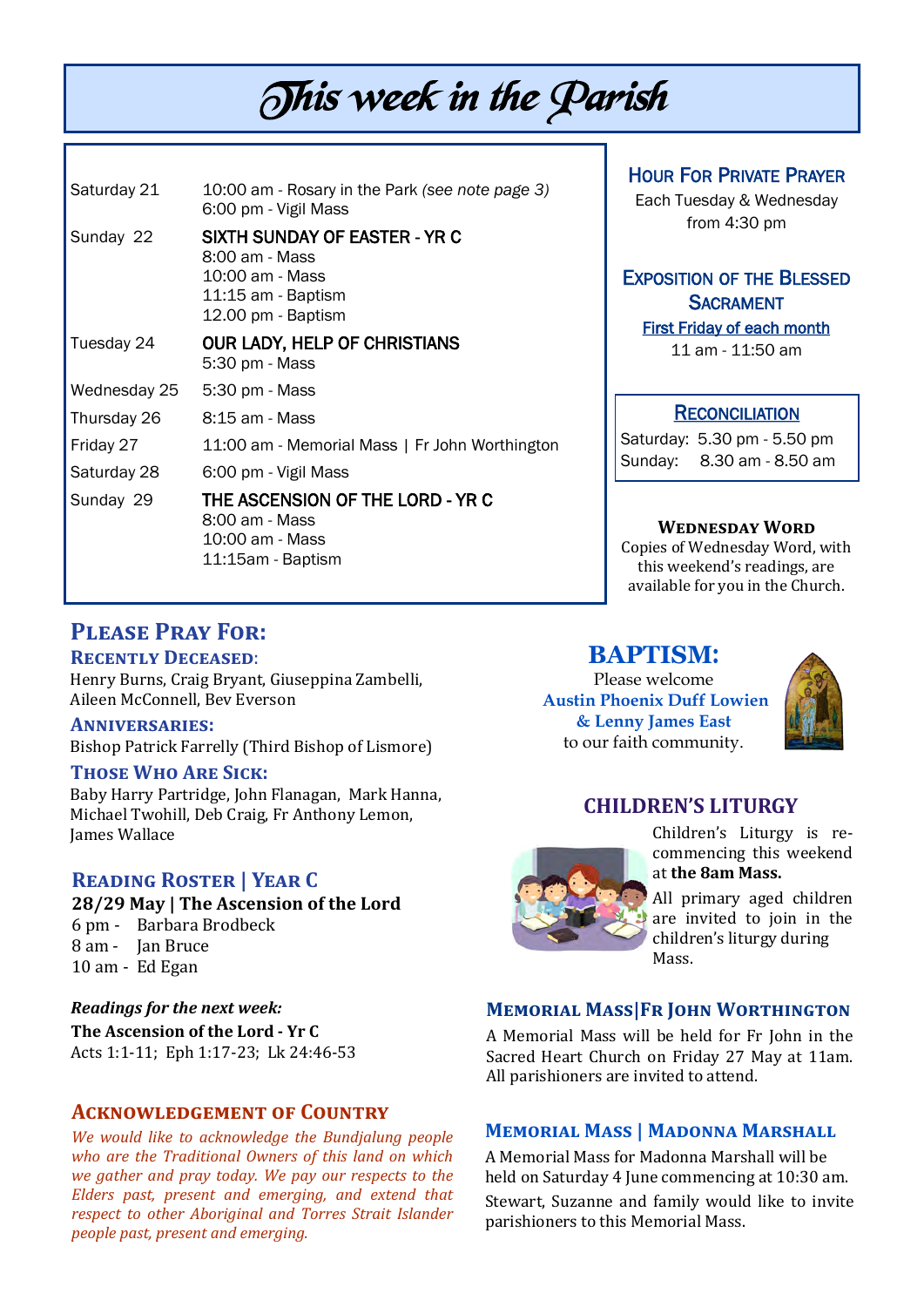# This week in the Parish

| Saturday 21  | 10:00 am - Rosary in the Park (see note page 3)<br>6:00 pm - Vigil Mass                                        |  |
|--------------|----------------------------------------------------------------------------------------------------------------|--|
| Sunday 22    | SIXTH SUNDAY OF EASTER - YR C<br>8:00 am - Mass<br>10:00 am - Mass<br>11:15 am - Baptism<br>12.00 pm - Baptism |  |
| Tuesday 24   | <b>OUR LADY, HELP OF CHRISTIANS</b><br>5:30 pm - Mass                                                          |  |
| Wednesday 25 | 5:30 pm - Mass                                                                                                 |  |
| Thursday 26  | 8:15 am - Mass                                                                                                 |  |
| Friday 27    | 11:00 am - Memorial Mass   Fr John Worthington                                                                 |  |
| Saturday 28  | 6:00 pm - Vigil Mass                                                                                           |  |
| Sunday 29    | THE ASCENSION OF THE LORD - YR C<br>8:00 am - Mass<br>10:00 am - Mass<br>11:15am - Baptism                     |  |

HOUR FOR PRIVATE PRAYER

Each Tuesday & Wednesday from 4:30 pm

# EXPOSITION OF THE BLESSED **SACRAMENT**

First Friday of each month 11 am - 11:50 am

#### **RECONCILIATION**

Saturday: 5.30 pm - 5.50 pm Sunday: 8.30 am - 8.50 am

#### **Wednesday Word**

Copies of Wednesday Word, with this weekend's readings, are available for you in the Church.

# **Please Pray For:**

#### **Recently Deceased**:

Henry Burns, Craig Bryant, Giuseppina Zambelli, Aileen McConnell, Bev Everson

#### **Anniversaries:**

Bishop Patrick Farrelly (Third Bishop of Lismore)

#### **Those Who Are Sick:**

Baby Harry Partridge, John Flanagan, Mark Hanna, Michael Twohill, Deb Craig, Fr Anthony Lemon, James Wallace

#### **Reading Roster | Year C**

**28/29 May | The Ascension of the Lord**  6 pm - Barbara Brodbeck 8 am - Jan Bruce

10 am - Ed Egan

*Readings for the next week:*  **The Ascension of the Lord - Yr C** Acts 1:1-11; Eph 1:17-23; Lk 24:46-53

#### **Acknowledgement of Country**

*We would like to acknowledge the Bundjalung people who are the Traditional Owners of this land on which we gather and pray today. We pay our respects to the Elders past, present and emerging, and extend that respect to other Aboriginal and Torres Strait Islander people past, present and emerging.* 

#### **BAPTISM**:

Please welcome **Austin Phoenix Duff Lowien & Lenny James East** to our faith community.



### **CHILDREN'S LITURGY**



Children's Liturgy is recommencing this weekend at **the 8am Mass.** 

All primary aged children are invited to join in the children's liturgy during Mass.

#### **Memorial Mass|Fr John Worthington**

A Memorial Mass will be held for Fr John in the Sacred Heart Church on Friday 27 May at 11am. All parishioners are invited to attend.

#### **Memorial Mass | Madonna Marshall**

A Memorial Mass for Madonna Marshall will be held on Saturday 4 June commencing at 10:30 am. Stewart, Suzanne and family would like to invite parishioners to this Memorial Mass.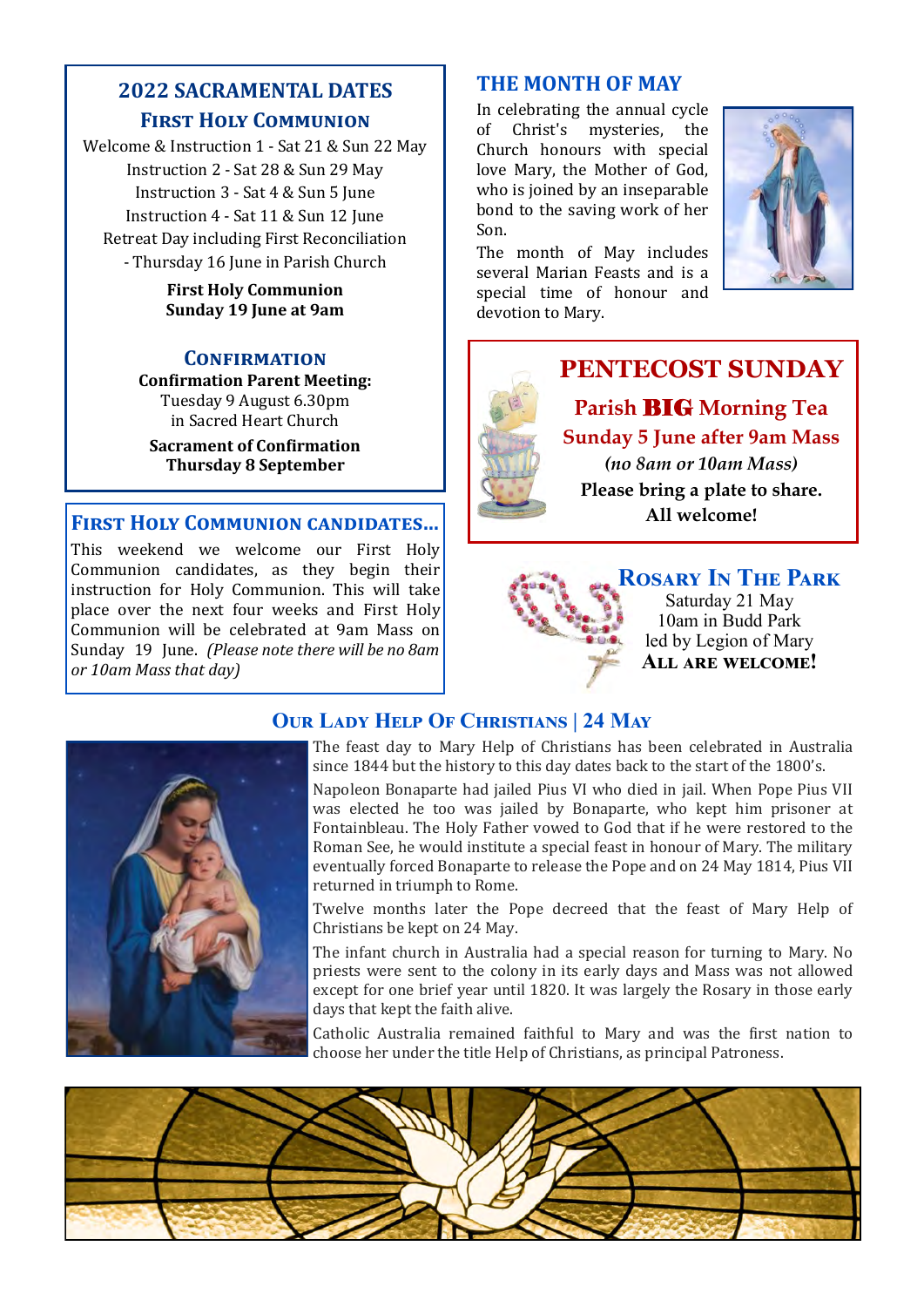# **2022 SACRAMENTAL DATES First Holy Communion**

Welcome & Instruction 1 - Sat 21 & Sun 22 May Instruction 2 - Sat 28 & Sun 29 May Instruction 3 - Sat 4 & Sun 5 June Instruction 4 - Sat 11 & Sun 12 June Retreat Day including First Reconciliation - Thursday 16 June in Parish Church

#### **First Holy Communion Sunday 19 June at 9am**

#### **Confirmation**

**Confirmation Parent Meeting:** Tuesday 9 August 6.30pm in Sacred Heart Church **Sacrament of Confirmation** 

**Thursday 8 September**

#### **First Holy Communion candidates…**

This weekend we welcome our First Holy Communion candidates, as they begin their instruction for Holy Communion. This will take place over the next four weeks and First Holy Communion will be celebrated at 9am Mass on Sunday 19 June. *(Please note there will be no 8am or 10am Mass that day)* 

## **THE MONTH OF MAY**

In celebrating the annual cycle of Christ's mysteries, the Church honours with special love Mary, the Mother of God, who is joined by an inseparable bond to the saving work of her Son.

The month of May includes several Marian Feasts and is a special time of honour and devotion to Mary.







**Rosary In The Park** Saturday 21 May 10am in Budd Park led by Legion of Mary **All are welcome!** 

# **Our Lady Help Of Christians | 24 May**



The feast day to Mary Help of Christians has been celebrated in Australia since 1844 but the history to this day dates back to the start of the 1800's.

Napoleon Bonaparte had jailed Pius VI who died in jail. When Pope Pius VII was elected he too was jailed by Bonaparte, who kept him prisoner at Fontainbleau. The Holy Father vowed to God that if he were restored to the Roman See, he would institute a special feast in honour of Mary. The military eventually forced Bonaparte to release the Pope and on 24 May 1814, Pius VII returned in triumph to Rome.

Twelve months later the Pope decreed that the feast of Mary Help of Christians be kept on 24 May.

The infant church in Australia had a special reason for turning to Mary. No priests were sent to the colony in its early days and Mass was not allowed except for one brief year until 1820. It was largely the Rosary in those early days that kept the faith alive.

Catholic Australia remained faithful to Mary and was the first nation to choose her under the title Help of Christians, as principal Patroness.